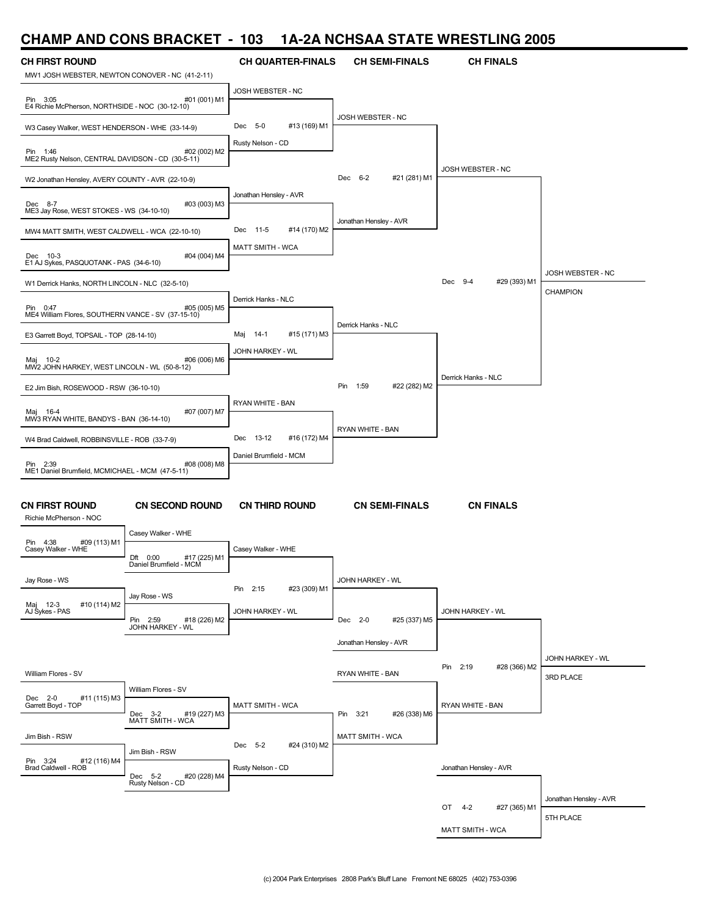### **CHAMP AND CONS BRACKET - 103 1A-2A NCHSAA STATE WRESTLING 2005**

| <b>CH FIRST ROUND</b>                                          |                                                       | <b>CH QUARTER-FINALS</b>      | <b>CH SEMI-FINALS</b>    | <b>CH FINALS</b>         |                        |
|----------------------------------------------------------------|-------------------------------------------------------|-------------------------------|--------------------------|--------------------------|------------------------|
| MW1 JOSH WEBSTER, NEWTON CONOVER - NC (41-2-11)                |                                                       |                               |                          |                          |                        |
| Pin 3:05<br>E4 Richie McPherson, NORTHSIDE - NOC (30-12-10)    | #01 (001) M1                                          | JOSH WEBSTER - NC             |                          |                          |                        |
| W3 Casey Walker, WEST HENDERSON - WHE (33-14-9)                |                                                       | #13 (169) M1<br>Dec 5-0       | JOSH WEBSTER - NC        |                          |                        |
| Pin 1:46<br>ME2 Rusty Nelson, CENTRAL DAVIDSON - CD (30-5-11)  | #02 (002) M2                                          | Rusty Nelson - CD             |                          |                          |                        |
| W2 Jonathan Hensley, AVERY COUNTY - AVR (22-10-9)              |                                                       |                               | Dec 6-2<br>#21 (281) M1  | JOSH WEBSTER - NC        |                        |
| Dec 8-7<br>ME3 Jay Rose, WEST STOKES - WS (34-10-10)           | #03 (003) M3                                          | Jonathan Hensley - AVR        |                          |                          |                        |
|                                                                |                                                       | #14 (170) M2<br>Dec<br>$11-5$ | Jonathan Hensley - AVR   |                          |                        |
| MW4 MATT SMITH, WEST CALDWELL - WCA (22-10-10)                 |                                                       | <b>MATT SMITH - WCA</b>       |                          |                          |                        |
| Dec 10-3<br>E1 AJ Sykes, PASQUOTANK - PAS (34-6-10)            | #04 (004) M4                                          |                               |                          |                          | JOSH WEBSTER - NC      |
| W1 Derrick Hanks, NORTH LINCOLN - NLC (32-5-10)                |                                                       |                               |                          | Dec 9-4<br>#29 (393) M1  | CHAMPION               |
| Pin 0:47<br>ME4 William Flores, SOUTHERN VANCE - SV (37-15-10) | #05 (005) M5                                          | Derrick Hanks - NLC           |                          |                          |                        |
| E3 Garrett Boyd, TOPSAIL - TOP (28-14-10)                      |                                                       | #15 (171) M3<br>Maj<br>- 14-1 | Derrick Hanks - NLC      |                          |                        |
| Maj 10-2<br>MW2 JOHN HARKEY, WEST LINCOLN - WL (50-8-12)       | #06 (006) M6                                          | JOHN HARKEY - WL              |                          |                          |                        |
|                                                                |                                                       |                               | #22 (282) M2<br>Pin 1:59 | Derrick Hanks - NLC      |                        |
| E2 Jim Bish, ROSEWOOD - RSW (36-10-10)                         |                                                       | RYAN WHITE - BAN              |                          |                          |                        |
| Maj 16-4<br>MW3 RYAN WHITE, BANDYS - BAN (36-14-10)            | #07 (007) M7                                          |                               |                          |                          |                        |
| W4 Brad Caldwell, ROBBINSVILLE - ROB (33-7-9)                  |                                                       | 13-12<br>#16 (172) M4<br>Dec  | RYAN WHITE - BAN         |                          |                        |
|                                                                |                                                       | Daniel Brumfield - MCM        |                          |                          |                        |
| Pin 2:39<br>ME1 Daniel Brumfield, MCMICHAEL - MCM (47-5-11)    | #08 (008) M8                                          |                               |                          |                          |                        |
|                                                                |                                                       |                               |                          |                          |                        |
| <b>CN FIRST ROUND</b><br>Richie McPherson - NOC                | <b>CN SECOND ROUND</b>                                | <b>CN THIRD ROUND</b>         | <b>CN SEMI-FINALS</b>    | <b>CN FINALS</b>         |                        |
| #09 (113) M1<br>Pin 4:38                                       | Casey Walker - WHE                                    |                               |                          |                          |                        |
| Casey Walker - WHE                                             | Dft<br>0:00<br>#17 (225) M1<br>Daniel Brumfield - MCM | Casey Walker - WHE            |                          |                          |                        |
| Jay Rose - WS                                                  |                                                       |                               | JOHN HARKEY - WL         |                          |                        |
| #10 (114) M2                                                   | Jay Rose - WS                                         | #23 (309) M1<br>Pin 2:15      |                          |                          |                        |
| Maj 12-3<br>AJ Sykes - PAS                                     | Pin 2:59<br>#18 (226) M2                              | JOHN HARKEY - WL              | Dec 2-0<br>#25 (337) M5  | JOHN HARKEY - WL         |                        |
|                                                                | JOHN HARKEY - WL                                      |                               | Jonathan Hensley - AVR   |                          |                        |
|                                                                |                                                       |                               |                          |                          | JOHN HARKEY - WL       |
| William Flores - SV                                            |                                                       |                               | RYAN WHITE - BAN         | Pin 2:19<br>#28 (366) M2 | 3RD PLACE              |
|                                                                | William Flores - SV                                   |                               |                          |                          |                        |
| Dec 2-0<br>#11 (115) M3<br>Garrett Boyd - TOP                  | Dec 3-2<br>#19 (227) M3                               | <b>MATT SMITH - WCA</b>       | Pin 3:21<br>#26 (338) M6 | RYAN WHITE - BAN         |                        |
|                                                                | MATT SMITH - WCA                                      |                               |                          |                          |                        |
| Jim Bish - RSW                                                 | Jim Bish - RSW                                        | Dec 5-2<br>#24 (310) M2       | <b>MATT SMITH - WCA</b>  |                          |                        |
| Pin 3:24 #1<br>Brad Caldwell - ROB<br>#12 (116) M4             |                                                       | Rusty Nelson - CD             |                          | Jonathan Hensley - AVR   |                        |
|                                                                | Dec 5-2<br>#20 (228) M4<br>Rusty Nelson - CD          |                               |                          |                          |                        |
|                                                                |                                                       |                               |                          | OT 4-2                   | Jonathan Hensley - AVR |
|                                                                |                                                       |                               |                          | #27 (365) M1             | 5TH PLACE              |
|                                                                |                                                       |                               |                          | MATT SMITH - WCA         |                        |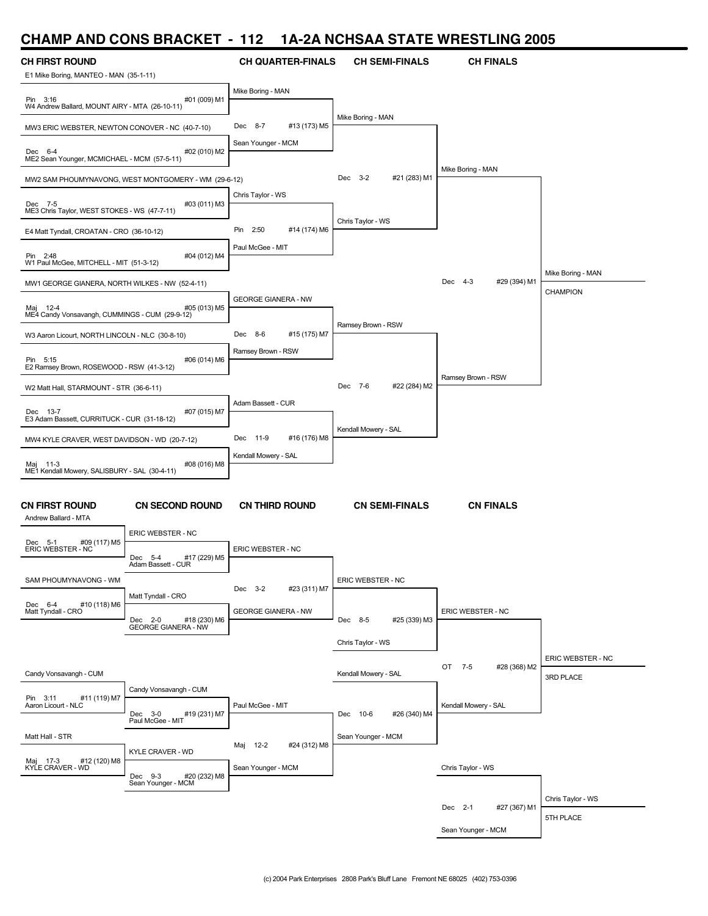## **CHAMP AND CONS BRACKET - 112 1A-2A NCHSAA STATE WRESTLING 2005**

| <b>CH FIRST ROUND</b><br>E1 Mike Boring, MANTEO - MAN (35-1-11) |                                                      | <b>CH QUARTER-FINALS</b>                       | <b>CH SEMI-FINALS</b>    | <b>CH FINALS</b>        |                                |
|-----------------------------------------------------------------|------------------------------------------------------|------------------------------------------------|--------------------------|-------------------------|--------------------------------|
| Pin 3:16<br>W4 Andrew Ballard, MOUNT AIRY - MTA (26-10-11)      | #01 (009) M1                                         | Mike Boring - MAN                              |                          |                         |                                |
| MW3 ERIC WEBSTER, NEWTON CONOVER - NC (40-7-10)                 |                                                      | Dec 8-7<br>#13 (173) M5                        | Mike Boring - MAN        |                         |                                |
| Dec 6-4<br>ME2 Sean Younger, MCMICHAEL - MCM (57-5-11)          | #02 (010) M2                                         | Sean Younger - MCM                             |                          |                         |                                |
|                                                                 | MW2 SAM PHOUMYNAVONG, WEST MONTGOMERY - WM (29-6-12) |                                                | Dec 3-2<br>#21 (283) M1  | Mike Boring - MAN       |                                |
| Dec 7-5<br>ME3 Chris Taylor, WEST STOKES - WS (47-7-11)         | #03 (011) M3                                         | Chris Taylor - WS                              |                          |                         |                                |
| E4 Matt Tyndall, CROATAN - CRO (36-10-12)                       |                                                      | Pin 2:50<br>#14 (174) M6                       | Chris Taylor - WS        |                         |                                |
| Pin 2:48<br>W1 Paul McGee, MITCHELL - MIT (51-3-12)             | #04 (012) M4                                         | Paul McGee - MIT                               |                          |                         | Mike Boring - MAN              |
| MW1 GEORGE GIANERA, NORTH WILKES - NW (52-4-11)                 |                                                      |                                                |                          | #29 (394) M1<br>Dec 4-3 | CHAMPION                       |
| Maj 12-4<br>ME4 Candy Vonsavangh, CUMMINGS - CUM (29-9-12)      | #05 (013) M5                                         | <b>GEORGE GIANERA - NW</b>                     | Ramsey Brown - RSW       |                         |                                |
| W3 Aaron Licourt, NORTH LINCOLN - NLC (30-8-10)                 |                                                      | Dec 8-6<br>#15 (175) M7                        |                          |                         |                                |
| Pin 5:15<br>E2 Ramsey Brown, ROSEWOOD - RSW (41-3-12)           | #06 (014) M6                                         | Ramsey Brown - RSW                             |                          |                         |                                |
| W2 Matt Hall, STARMOUNT - STR (36-6-11)                         |                                                      |                                                | Dec 7-6<br>#22 (284) M2  | Ramsey Brown - RSW      |                                |
| Dec 13-7<br>E3 Adam Bassett, CURRITUCK - CUR (31-18-12)         | #07 (015) M7                                         | Adam Bassett - CUR                             |                          |                         |                                |
| MW4 KYLE CRAVER, WEST DAVIDSON - WD (20-7-12)                   |                                                      | Dec 11-9<br>#16 (176) M8                       | Kendall Mowery - SAL     |                         |                                |
| Maj 11-3<br>ME1 Kendall Mowery, SALISBURY - SAL (30-4-11)       | #08 (016) M8                                         | Kendall Mowery - SAL                           |                          |                         |                                |
| <b>CN FIRST ROUND</b><br>Andrew Ballard - MTA                   | <b>CN SECOND ROUND</b>                               | <b>CN THIRD ROUND</b>                          | <b>CN SEMI-FINALS</b>    | <b>CN FINALS</b>        |                                |
| Dec 5-1<br>#09 (117) M5                                         | ERIC WEBSTER - NC                                    |                                                |                          |                         |                                |
| ERIC WEBSTER - NC                                               | Dec 5-4<br>#17 (229) M5<br>Adam Bassett - CUR        | ERIC WEBSTER - NC                              |                          |                         |                                |
| SAM PHOUMYNAVONG - WM<br>Dec 6-4<br>#10 (118) M6                | Matt Tyndall - CRO                                   | Dec 3-2<br>#23 (311) M7                        | ERIC WEBSTER - NC        |                         |                                |
| Matt Tyndall - CRO                                              | Dec 2-0 #18 (230) M6<br>GEORGE GIANERA - NW          | <b>GEORGE GIANERA - NW</b>                     | #25 (339) M3<br>Dec 8-5  | ERIC WEBSTER - NC       |                                |
|                                                                 |                                                      |                                                | Chris Taylor - WS        |                         |                                |
| Candy Vonsavangh - CUM                                          |                                                      |                                                | Kendall Mowery - SAL     | OT 7-5<br>#28 (368) M2  | ERIC WEBSTER - NC<br>3RD PLACE |
| Pin 3:11<br>#11 (119) M7<br>Aaron Licourt - NLC                 | Candy Vonsavangh - CUM<br>Dec 3-0<br>#19 (231) M7    | Paul McGee - MIT                               | Dec 10-6<br>#26 (340) M4 | Kendall Mowery - SAL    |                                |
| Matt Hall - STR                                                 | Paul McGee - MIT                                     |                                                | Sean Younger - MCM       |                         |                                |
| #12 (120) M8<br>Maj 17-3 #12<br>KYLE CRAVER - WD                | KYLE CRAVER - WD                                     | Maj 12-2<br>#24 (312) M8<br>Sean Younger - MCM |                          | Chris Taylor - WS       |                                |
|                                                                 | Dec 9-3<br>#20 (232) M8<br>Sean Younger - MCM        |                                                |                          |                         |                                |
|                                                                 |                                                      |                                                |                          | Dec 2-1<br>#27 (367) M1 | Chris Taylor - WS              |
|                                                                 |                                                      |                                                |                          | Sean Younger - MCM      | 5TH PLACE                      |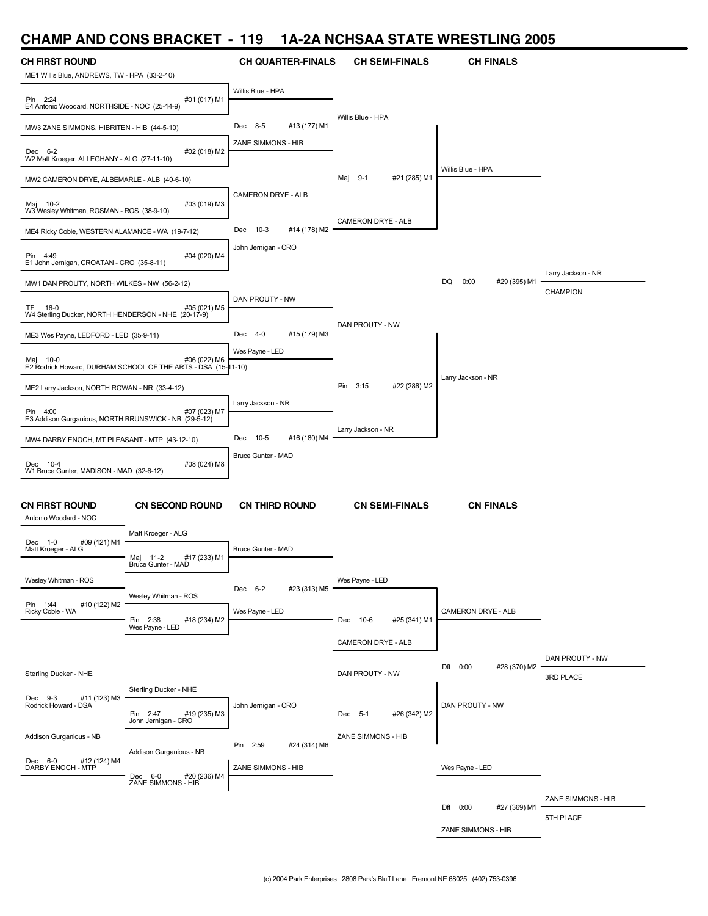## **CHAMP AND CONS BRACKET - 119 1A-2A NCHSAA STATE WRESTLING 2005**

| <i>.</i>                                                              |                                                               |                             |                          |                            |                    |
|-----------------------------------------------------------------------|---------------------------------------------------------------|-----------------------------|--------------------------|----------------------------|--------------------|
| <b>CH FIRST ROUND</b><br>ME1 Willis Blue, ANDREWS, TW - HPA (33-2-10) |                                                               | <b>CH QUARTER-FINALS</b>    | <b>CH SEMI-FINALS</b>    | <b>CH FINALS</b>           |                    |
| Pin 2:24<br>E4 Antonio Woodard, NORTHSIDE - NOC (25-14-9)             | #01 (017) M1                                                  | Willis Blue - HPA           |                          |                            |                    |
| MW3 ZANE SIMMONS, HIBRITEN - HIB (44-5-10)                            |                                                               | Dec 8-5<br>#13 (177) M1     | Willis Blue - HPA        |                            |                    |
|                                                                       |                                                               | ZANE SIMMONS - HIB          |                          |                            |                    |
| Dec 6-2<br>W2 Matt Kroeger, ALLEGHANY - ALG (27-11-10)                | #02 (018) M2                                                  |                             |                          | Willis Blue - HPA          |                    |
| MW2 CAMERON DRYE, ALBEMARLE - ALB (40-6-10)                           |                                                               |                             | #21 (285) M1<br>Maj 9-1  |                            |                    |
| Maj 10-2<br>W3 Wesley Whitman, ROSMAN - ROS (38-9-10)                 | #03 (019) M3                                                  | CAMERON DRYE - ALB          |                          |                            |                    |
| ME4 Ricky Coble, WESTERN ALAMANCE - WA (19-7-12)                      |                                                               | Dec 10-3<br>#14 (178) M2    | CAMERON DRYE - ALB       |                            |                    |
| Pin 4:49<br>E1 John Jernigan, CROATAN - CRO (35-8-11)                 | #04 (020) M4                                                  | John Jernigan - CRO         |                          |                            |                    |
| MW1 DAN PROUTY, NORTH WILKES - NW (56-2-12)                           |                                                               |                             |                          | DQ<br>0:00<br>#29 (395) M1 | Larry Jackson - NR |
|                                                                       |                                                               | DAN PROUTY - NW             |                          |                            | CHAMPION           |
| TF 16-0<br>W4 Sterling Ducker, NORTH HENDERSON - NHE (20-17-9)        | #05 (021) M5                                                  |                             |                          |                            |                    |
| ME3 Wes Payne, LEDFORD - LED (35-9-11)                                |                                                               | Dec 4-0<br>#15 (179) M3     | DAN PROUTY - NW          |                            |                    |
| Maj 10-0                                                              | #06 (022) M6                                                  | Wes Payne - LED             |                          |                            |                    |
|                                                                       | E2 Rodrick Howard, DURHAM SCHOOL OF THE ARTS - DSA (15-11-10) |                             |                          | Larry Jackson - NR         |                    |
| ME2 Larry Jackson, NORTH ROWAN - NR (33-4-12)                         |                                                               |                             | #22 (286) M2<br>Pin 3:15 |                            |                    |
| Pin 4:00                                                              | #07 (023) M7                                                  | Larry Jackson - NR          |                          |                            |                    |
| E3 Addison Gurganious, NORTH BRUNSWICK - NB (29-5-12)                 |                                                               |                             | Larry Jackson - NR       |                            |                    |
| MW4 DARBY ENOCH, MT PLEASANT - MTP (43-12-10)                         |                                                               | Dec 10-5<br>#16 (180) M4    |                          |                            |                    |
| Dec 10-4<br>W1 Bruce Gunter, MADISON - MAD (32-6-12)                  | #08 (024) M8                                                  | Bruce Gunter - MAD          |                          |                            |                    |
|                                                                       |                                                               |                             |                          |                            |                    |
| CN FIRST ROUND<br>Antonio Woodard - NOC                               | <b>CN SECOND ROUND</b>                                        | <b>CN THIRD ROUND</b>       | <b>CN SEMI-FINALS</b>    | <b>CN FINALS</b>           |                    |
|                                                                       | Matt Kroeger - ALG                                            |                             |                          |                            |                    |
| Dec 1-0<br>#09 (121) M1<br>Matt Kroeger - ALG                         | #17 (233) M1<br>Maj 11-2<br>Bruce Gunter - MAD                | Bruce Gunter - MAD          |                          |                            |                    |
| Wesley Whitman - ROS                                                  |                                                               |                             | Wes Payne - LED          |                            |                    |
| Pin 1:44<br>#10 (122) M2                                              | Wesley Whitman - ROS                                          | Dec 6-2<br>#23 (313) M5     |                          |                            |                    |
| Ricky Coble - WA                                                      | #18 (234) M2<br>Pin 2:38                                      | Wes Payne - LED             | Dec 10-6<br>#25 (341) M1 | CAMERON DRYE - ALB         |                    |
|                                                                       | Wes Payne - LED                                               |                             | CAMERON DRYE - ALB       |                            |                    |
|                                                                       |                                                               |                             |                          |                            | DAN PROUTY - NW    |
| Sterling Ducker - NHE                                                 |                                                               |                             | DAN PROUTY - NW          | Dft 0:00<br>#28 (370) M2   | 3RD PLACE          |
| Dec 9-3<br>#11 (123) M3                                               | Sterling Ducker - NHE                                         |                             |                          |                            |                    |
| Rodrick Howard - DSA                                                  | Pin 2:47<br>#19 (235) M3                                      | John Jernigan - CRO         | #26 (342) M2<br>Dec 5-1  | DAN PROUTY - NW            |                    |
| Addison Gurganious - NB                                               | John Jernigan - CRO                                           |                             | ZANE SIMMONS - HIB       |                            |                    |
|                                                                       | Addison Gurganious - NB                                       | 2:59<br>#24 (314) M6<br>Pin |                          |                            |                    |
| Dec 6-0 #12 (1991)<br>DARBY ENOCH - MTP<br>#12 (124) M4               |                                                               | ZANE SIMMONS - HIB          |                          | Wes Payne - LED            |                    |
|                                                                       | Dec 6-0<br>#20 (236) M4<br>ZANE SIMMONS - HIB                 |                             |                          |                            |                    |
|                                                                       |                                                               |                             |                          | Dft 0:00<br>#27 (369) M1   | ZANE SIMMONS - HIB |
|                                                                       |                                                               |                             |                          | ZANE SIMMONS - HIB         | 5TH PLACE          |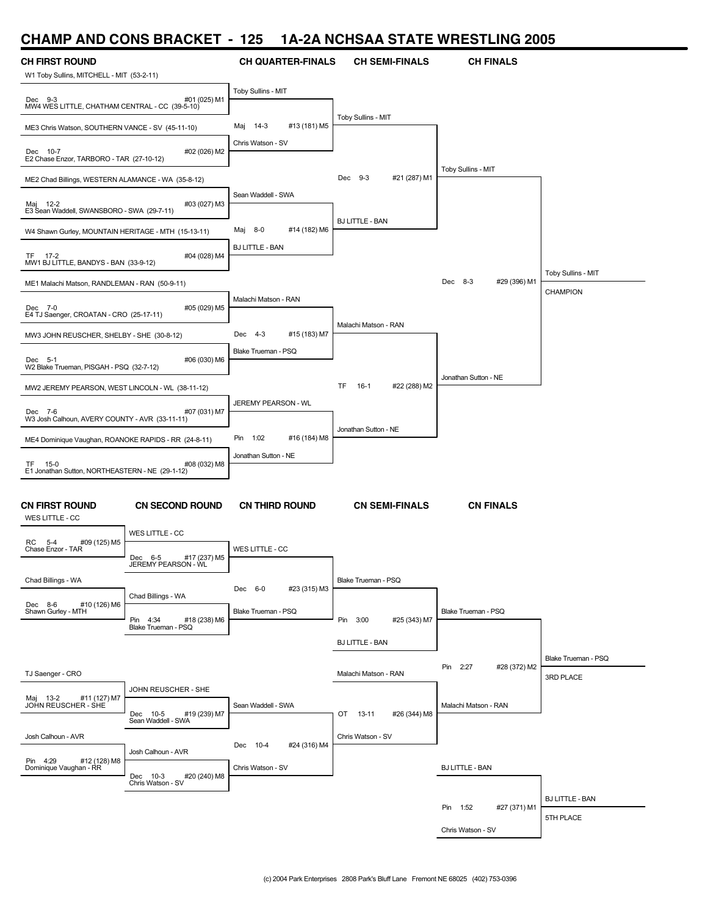### **CHAMP AND CONS BRACKET - 125 1A-2A NCHSAA STATE WRESTLING 2005**

| <b>CH FIRST ROUND</b>                                     |                                                | <b>CH QUARTER-FINALS</b>      | <b>CH SEMI-FINALS</b>        | <b>CH FINALS</b>         |                        |
|-----------------------------------------------------------|------------------------------------------------|-------------------------------|------------------------------|--------------------------|------------------------|
| W1 Toby Sullins, MITCHELL - MIT (53-2-11)                 |                                                |                               |                              |                          |                        |
| Dec 9-3<br>MW4 WES LITTLE, CHATHAM CENTRAL - CC (39-5-10) | #01 (025) M1                                   | Toby Sullins - MIT            |                              |                          |                        |
| ME3 Chris Watson, SOUTHERN VANCE - SV (45-11-10)          |                                                | $14-3$<br>#13 (181) M5<br>Maj | Toby Sullins - MIT           |                          |                        |
| Dec 10-7<br>E2 Chase Enzor, TARBORO - TAR (27-10-12)      | #02 (026) M2                                   | Chris Watson - SV             |                              |                          |                        |
| ME2 Chad Billings, WESTERN ALAMANCE - WA (35-8-12)        |                                                |                               | Dec 9-3<br>#21 (287) M1      | Toby Sullins - MIT       |                        |
| Maj 12-2<br>E3 Sean Waddell, SWANSBORO - SWA (29-7-11)    | #03 (027) M3                                   | Sean Waddell - SWA            |                              |                          |                        |
|                                                           |                                                | #14 (182) M6<br>Maj 8-0       | <b>BJ LITTLE - BAN</b>       |                          |                        |
| W4 Shawn Gurley, MOUNTAIN HERITAGE - MTH (15-13-11)       |                                                | <b>BJ LITTLE - BAN</b>        |                              |                          |                        |
| TF 17-2<br>MW1 BJ LITTLE, BANDYS - BAN (33-9-12)          | #04 (028) M4                                   |                               |                              |                          | Toby Sullins - MIT     |
| ME1 Malachi Matson, RANDLEMAN - RAN (50-9-11)             |                                                |                               |                              | Dec 8-3<br>#29 (396) M1  | CHAMPION               |
| Dec 7-0<br>E4 TJ Saenger, CROATAN - CRO (25-17-11)        | #05 (029) M5                                   | Malachi Matson - RAN          |                              |                          |                        |
| MW3 JOHN REUSCHER, SHELBY - SHE (30-8-12)                 |                                                | #15 (183) M7<br>Dec $4-3$     | Malachi Matson - RAN         |                          |                        |
| Dec 5-1<br>W2 Blake Trueman, PISGAH - PSQ (32-7-12)       | #06 (030) M6                                   | Blake Trueman - PSQ           |                              |                          |                        |
|                                                           |                                                |                               |                              | Jonathan Sutton - NE     |                        |
| MW2 JEREMY PEARSON, WEST LINCOLN - WL (38-11-12)          |                                                | JEREMY PEARSON - WL           | #22 (288) M2<br>TF<br>$16-1$ |                          |                        |
| Dec 7-6<br>W3 Josh Calhoun, AVERY COUNTY - AVR (33-11-11) | #07 (031) M7                                   |                               | Jonathan Sutton - NE         |                          |                        |
| ME4 Dominique Vaughan, ROANOKE RAPIDS - RR (24-8-11)      |                                                | 1:02<br>#16 (184) M8<br>Pin   |                              |                          |                        |
| TF.<br>$15-0$                                             | #08 (032) M8                                   | Jonathan Sutton - NE          |                              |                          |                        |
| E1 Jonathan Sutton, NORTHEASTERN - NE (29-1-12)           |                                                |                               |                              |                          |                        |
| <b>CN FIRST ROUND</b><br>WES LITTLE - CC                  | <b>CN SECOND ROUND</b>                         | <b>CN THIRD ROUND</b>         | <b>CN SEMI-FINALS</b>        | <b>CN FINALS</b>         |                        |
|                                                           | WES LITTLE - CC                                |                               |                              |                          |                        |
| #09 (125) M5<br>RC<br>5-4<br>Chase Enzor - TAR            | #17 (237) M5<br>Dec 6-5<br>JEREMY PEARSON - WL | WES LITTLE - CC               |                              |                          |                        |
| Chad Billings - WA                                        |                                                |                               | Blake Trueman - PSQ          |                          |                        |
|                                                           | Chad Billings - WA                             | #23 (315) M3<br>Dec 6-0       |                              |                          |                        |
| #10 (126) M6<br>Dec 8-6<br>Shawn Gurley - MTH             | Pin 4:34                                       | Blake Trueman - PSQ           | Pin 3:00                     | Blake Trueman - PSQ      |                        |
|                                                           | #18 (238) M6<br>Blake Trueman - PSQ            |                               | #25 (343) M7                 |                          |                        |
|                                                           |                                                |                               | <b>BJ LITTLE - BAN</b>       |                          |                        |
|                                                           |                                                |                               |                              | Pin 2:27<br>#28 (372) M2 | Blake Trueman - PSQ    |
| TJ Saenger - CRO                                          | JOHN REUSCHER - SHE                            |                               | Malachi Matson - RAN         |                          | 3RD PLACE              |
| #11 (127) M7<br>Maj 13-2<br>JOHN REUSCHER - SHE           |                                                | Sean Waddell - SWA            |                              | Malachi Matson - RAN     |                        |
|                                                           | Dec 10-5<br>#19 (239) M7<br>Sean Waddell - SWA |                               | OT 13-11<br>#26 (344) M8     |                          |                        |
| Josh Calhoun - AVR                                        |                                                |                               | Chris Watson - SV            |                          |                        |
|                                                           | Josh Calhoun - AVR                             | Dec 10-4<br>#24 (316) M4      |                              |                          |                        |
| Pin 4:29 #12 (128) M8<br>Dominique Vaughan - RR           | Dec 10-3<br>Chris Watson - SV<br>#20 (240) M8  | Chris Watson - SV             |                              | <b>BJ LITTLE - BAN</b>   |                        |
|                                                           |                                                |                               |                              |                          |                        |
|                                                           |                                                |                               |                              | Pin 1:52<br>#27 (371) M1 | <b>BJ LITTLE - BAN</b> |
|                                                           |                                                |                               |                              | Chris Watson - SV        | 5TH PLACE              |
|                                                           |                                                |                               |                              |                          |                        |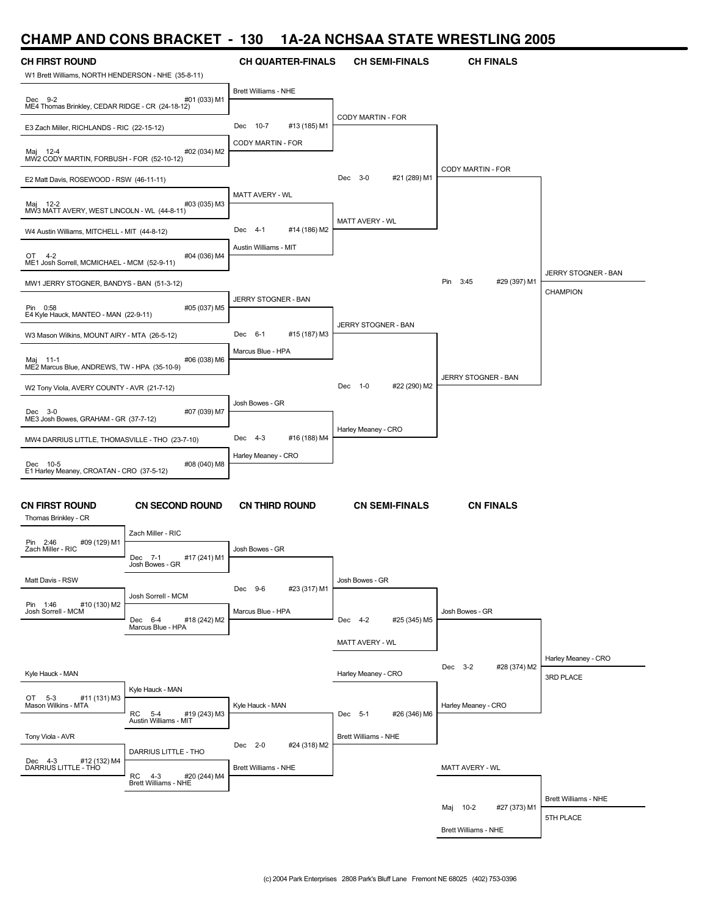#### **CHAMP AND CONS BRACKET - 130 1A-2A NCHSAA STATE WRESTLING 2005**

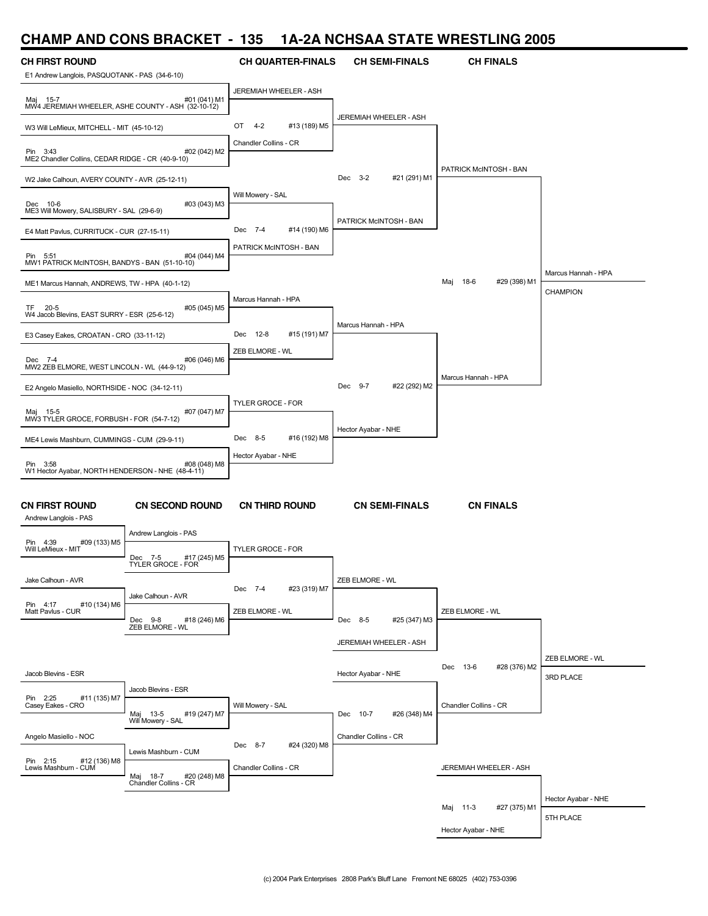# **CHAMP AND CONS BRACKET - 135 1A-2A NCHSAA STATE WRESTLING 2005**

| <b>CH FIRST ROUND</b><br>E1 Andrew Langlois, PASQUOTANK - PAS (34-6-10) |                                                       | <b>CH QUARTER-FINALS</b> | <b>CH SEMI-FINALS</b>    | <b>CH FINALS</b>         |                              |
|-------------------------------------------------------------------------|-------------------------------------------------------|--------------------------|--------------------------|--------------------------|------------------------------|
|                                                                         |                                                       | JEREMIAH WHEELER - ASH   |                          |                          |                              |
| Maj 15-7<br>MW4 JEREMIAH WHEELER, ASHE COUNTY - ASH (32-10-12)          | #01 (041) M1                                          |                          | JEREMIAH WHEELER - ASH   |                          |                              |
| W3 Will LeMieux, MITCHELL - MIT (45-10-12)                              |                                                       | #13 (189) M5<br>OT 4-2   |                          |                          |                              |
| Pin 3:43<br>ME2 Chandler Collins, CEDAR RIDGE - CR (40-9-10)            | #02 (042) M2                                          | Chandler Collins - CR    |                          |                          |                              |
| W2 Jake Calhoun, AVERY COUNTY - AVR (25-12-11)                          |                                                       |                          | Dec 3-2<br>#21 (291) M1  | PATRICK McINTOSH - BAN   |                              |
| Dec 10-6<br>ME3 Will Mowery, SALISBURY - SAL (29-6-9)                   | #03 (043) M3                                          | Will Mowery - SAL        |                          |                          |                              |
| E4 Matt Pavlus, CURRITUCK - CUR (27-15-11)                              |                                                       | Dec 7-4<br>#14 (190) M6  | PATRICK McINTOSH - BAN   |                          |                              |
| Pin 5:51<br>MW1 PATRICK McINTOSH, BANDYS - BAN (51-10-10)               | #04 (044) M4                                          | PATRICK McINTOSH - BAN   |                          |                          |                              |
| ME1 Marcus Hannah, ANDREWS, TW - HPA (40-1-12)                          |                                                       |                          |                          | Maj 18-6<br>#29 (398) M1 | Marcus Hannah - HPA          |
| TF 20-5<br>W4 Jacob Blevins, EAST SURRY - ESR (25-6-12)                 | #05 (045) M5                                          | Marcus Hannah - HPA      |                          |                          | CHAMPION                     |
| E3 Casey Eakes, CROATAN - CRO (33-11-12)                                |                                                       | Dec 12-8<br>#15 (191) M7 | Marcus Hannah - HPA      |                          |                              |
| Dec 7-4<br>MW2 ZEB ELMORE, WEST LINCOLN - WL (44-9-12)                  | #06 (046) M6                                          | ZEB ELMORE - WL          |                          |                          |                              |
| E2 Angelo Masiello, NORTHSIDE - NOC (34-12-11)                          |                                                       |                          | Dec 9-7<br>#22 (292) M2  | Marcus Hannah - HPA      |                              |
|                                                                         |                                                       | TYLER GROCE - FOR        |                          |                          |                              |
| Maj 15-5<br>MW3 TYLER GROCE, FORBUSH - FOR (54-7-12)                    | #07 (047) M7                                          |                          | Hector Ayabar - NHE      |                          |                              |
| ME4 Lewis Mashburn, CUMMINGS - CUM (29-9-11)                            |                                                       | Dec 8-5<br>#16 (192) M8  |                          |                          |                              |
| Pin 3:58                                                                | #08 (048) M8                                          | Hector Ayabar - NHE      |                          |                          |                              |
| W1 Hector Ayabar, NORTH HENDERSON - NHE (48-4-11)                       |                                                       |                          |                          |                          |                              |
| <b>CN FIRST ROUND</b><br>Andrew Langlois - PAS                          | <b>CN SECOND ROUND</b>                                | <b>CN THIRD ROUND</b>    | <b>CN SEMI-FINALS</b>    | <b>CN FINALS</b>         |                              |
| #09 (133) M5<br>Pin 4:39                                                | Andrew Langlois - PAS                                 |                          |                          |                          |                              |
| Will LeMieux - MIT                                                      | #17 (245) M5<br>Dec 7-5<br>TYLER GROCE - FOR          | <b>TYLER GROCE - FOR</b> |                          |                          |                              |
| Jake Calhoun - AVR                                                      |                                                       | Dec 7-4<br>#23 (319) M7  | ZEB ELMORE - WL          |                          |                              |
| #10 (134) M6<br>Pin 4:17<br>Matt Pavlus - CUR                           | Jake Calhoun - AVR                                    | ZEB ELMORE - WL          |                          | ZEB ELMORE - WL          |                              |
|                                                                         | Dec 9-8<br>#18 (246) M6<br>ZEB ELMORE - WL            |                          | Dec 8-5<br>#25 (347) M3  |                          |                              |
|                                                                         |                                                       |                          | JEREMIAH WHEELER - ASH   |                          |                              |
| Jacob Blevins - ESR                                                     |                                                       |                          | Hector Ayabar - NHE      | Dec 13-6<br>#28 (376) M2 | ZEB ELMORE - WL<br>3RD PLACE |
| #11 (135) M7<br>Pin 2:25                                                | Jacob Blevins - ESR                                   |                          |                          |                          |                              |
| Casey Eakes - CRO                                                       | Maj 13-5<br>#19 (247) M7<br>Will Mowery - SAL         | Will Mowery - SAL        | Dec 10-7<br>#26 (348) M4 | Chandler Collins - CR    |                              |
| Angelo Masiello - NOC                                                   |                                                       |                          | Chandler Collins - CR    |                          |                              |
| #12 (136) M8<br>Pin 2:15                                                | Lewis Mashburn - CUM                                  | Dec 8-7<br>#24 (320) M8  |                          |                          |                              |
| Lewis Mashburn - CUM                                                    | Maj 18-7 #20<br>Chandler Collins - CR<br>#20 (248) M8 | Chandler Collins - CR    |                          | JEREMIAH WHEELER - ASH   |                              |
|                                                                         |                                                       |                          |                          |                          | Hector Ayabar - NHE          |
|                                                                         |                                                       |                          |                          | #27 (375) M1<br>Maj 11-3 | 5TH PLACE                    |
|                                                                         |                                                       |                          |                          | Hector Ayabar - NHE      |                              |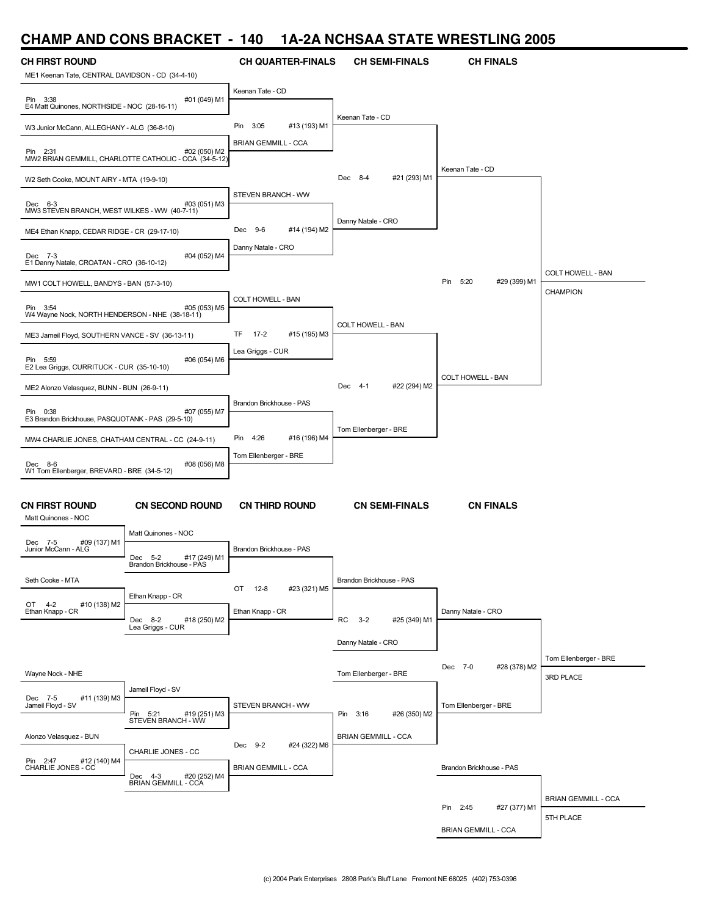### **CHAMP AND CONS BRACKET - 140 1A-2A NCHSAA STATE WRESTLING 2005**

| <i>.</i>                                                 |                                                                       |                                |                               |                            |                            |
|----------------------------------------------------------|-----------------------------------------------------------------------|--------------------------------|-------------------------------|----------------------------|----------------------------|
| <b>CH FIRST ROUND</b>                                    |                                                                       | <b>CH QUARTER-FINALS</b>       | <b>CH SEMI-FINALS</b>         | <b>CH FINALS</b>           |                            |
| ME1 Keenan Tate, CENTRAL DAVIDSON - CD (34-4-10)         |                                                                       | Keenan Tate - CD               |                               |                            |                            |
| Pin 3:38<br>E4 Matt Quinones, NORTHSIDE - NOC (28-16-11) | #01 (049) M1                                                          |                                |                               |                            |                            |
|                                                          |                                                                       |                                | Keenan Tate - CD              |                            |                            |
| W3 Junior McCann, ALLEGHANY - ALG (36-8-10)              |                                                                       | #13 (193) M1<br>3:05<br>Pin    |                               |                            |                            |
| Pin 2:31                                                 | #02 (050) M2<br>MW2 BRIAN GEMMILL, CHARLOTTE CATHOLIC - CCA (34-5-12) | <b>BRIAN GEMMILL - CCA</b>     |                               |                            |                            |
|                                                          |                                                                       |                                |                               | Keenan Tate - CD           |                            |
| W2 Seth Cooke, MOUNT AIRY - MTA (19-9-10)                |                                                                       |                                | #21 (293) M1<br>Dec 8-4       |                            |                            |
| Dec 6-3                                                  | #03 (051) M3                                                          | STEVEN BRANCH - WW             |                               |                            |                            |
| MW3 STEVEN BRANCH, WEST WILKES - WW (40-7-11)            |                                                                       |                                | Danny Natale - CRO            |                            |                            |
| ME4 Ethan Knapp, CEDAR RIDGE - CR (29-17-10)             |                                                                       | Dec 9-6<br>#14 (194) M2        |                               |                            |                            |
| Dec 7-3                                                  | #04 (052) M4                                                          | Danny Natale - CRO             |                               |                            |                            |
| E1 Danny Natale, CROATAN - CRO (36-10-12)                |                                                                       |                                |                               |                            | COLT HOWELL - BAN          |
| MW1 COLT HOWELL, BANDYS - BAN (57-3-10)                  |                                                                       |                                |                               | Pin 5:20<br>#29 (399) M1   | CHAMPION                   |
| Pin 3:54                                                 | #05 (053) M5                                                          | COLT HOWELL - BAN              |                               |                            |                            |
| W4 Wayne Nock, NORTH HENDERSON - NHE (38-18-11)          |                                                                       |                                | COLT HOWELL - BAN             |                            |                            |
| ME3 Jameil Floyd, SOUTHERN VANCE - SV (36-13-11)         |                                                                       | TF.<br>$17-2$<br>#15 (195) M3  |                               |                            |                            |
| Pin 5:59                                                 | #06 (054) M6                                                          | Lea Griggs - CUR               |                               |                            |                            |
| E2 Lea Griggs, CURRITUCK - CUR (35-10-10)                |                                                                       |                                |                               | COLT HOWELL - BAN          |                            |
| ME2 Alonzo Velasquez, BUNN - BUN (26-9-11)               |                                                                       |                                | #22 (294) M2<br>Dec 4-1       |                            |                            |
| Pin 0:38                                                 | #07 (055) M7                                                          | Brandon Brickhouse - PAS       |                               |                            |                            |
| E3 Brandon Brickhouse, PASQUOTANK - PAS (29-5-10)        |                                                                       |                                | Tom Ellenberger - BRE         |                            |                            |
| MW4 CHARLIE JONES, CHATHAM CENTRAL - CC (24-9-11)        |                                                                       | 4:26<br>#16 (196) M4<br>Pin    |                               |                            |                            |
| Dec 8-6                                                  | #08 (056) M8                                                          | Tom Ellenberger - BRE          |                               |                            |                            |
| W1 Tom Ellenberger, BREVARD - BRE (34-5-12)              |                                                                       |                                |                               |                            |                            |
|                                                          |                                                                       |                                |                               |                            |                            |
| <b>CN FIRST ROUND</b>                                    | <b>CN SECOND ROUND</b>                                                | <b>CN THIRD ROUND</b>          | <b>CN SEMI-FINALS</b>         | <b>CN FINALS</b>           |                            |
| Matt Quinones - NOC                                      | Matt Quinones - NOC                                                   |                                |                               |                            |                            |
| #09 (137) M1<br>Dec 7-5<br>Junior McCann - ALG           |                                                                       | Brandon Brickhouse - PAS       |                               |                            |                            |
|                                                          | #17 (249) M1<br>Dec 5-2<br>Brandon Brickhouse - PAS                   |                                |                               |                            |                            |
| Seth Cooke - MTA                                         |                                                                       |                                | Brandon Brickhouse - PAS      |                            |                            |
|                                                          | Ethan Knapp - CR                                                      | $12 - 8$<br>#23 (321) M5<br>OT |                               |                            |                            |
| #10 (138) M2<br>OT 4-2<br>Ethan Knapp - CR               | Dec 8-2<br>#18 (250) M2                                               | Ethan Knapp - CR               | RC<br>$3 - 2$<br>#25 (349) M1 | Danny Natale - CRO         |                            |
|                                                          | Lea Griggs - CUR                                                      |                                |                               |                            |                            |
|                                                          |                                                                       |                                | Danny Natale - CRO            |                            |                            |
|                                                          |                                                                       |                                |                               | Dec 7-0<br>#28 (378) M2    | Tom Ellenberger - BRE      |
| Wayne Nock - NHE                                         |                                                                       |                                | Tom Ellenberger - BRE         |                            | 3RD PLACE                  |
| #11 (139) M3<br>Dec 7-5<br>Jameil Floyd - SV             | Jameil Floyd - SV                                                     | STEVEN BRANCH - WW             |                               | Tom Ellenberger - BRE      |                            |
|                                                          | Pin 5:21<br>#19 (251) M3<br>STEVEN BRANCH - WW                        |                                | #26 (350) M2<br>Pin 3:16      |                            |                            |
| Alonzo Velasquez - BUN                                   |                                                                       |                                | <b>BRIAN GEMMILL - CCA</b>    |                            |                            |
|                                                          | CHARLIE JONES - CC                                                    | Dec 9-2<br>#24 (322) M6        |                               |                            |                            |
| Pin 2:47<br>#12 (140) M4<br>CHARLIE JONES - CC           |                                                                       | <b>BRIAN GEMMILL - CCA</b>     |                               | Brandon Brickhouse - PAS   |                            |
|                                                          | Dec 4-3<br>#20 (252) M4<br><b>BRIAN GEMMILL - CCA</b>                 |                                |                               |                            |                            |
|                                                          |                                                                       |                                |                               | #27 (377) M1<br>Pin 2:45   | <b>BRIAN GEMMILL - CCA</b> |
|                                                          |                                                                       |                                |                               |                            | 5TH PLACE                  |
|                                                          |                                                                       |                                |                               | <b>BRIAN GEMMILL - CCA</b> |                            |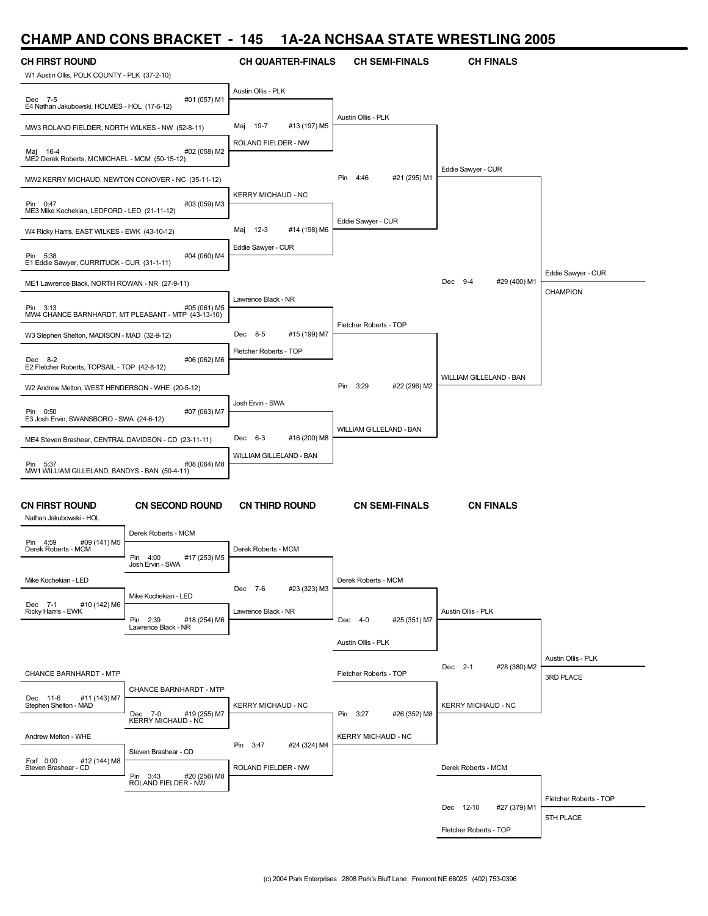## **CHAMP AND CONS BRACKET - 145 1A-2A NCHSAA STATE WRESTLING 2005**

| <b>CH FIRST ROUND</b><br>W1 Austin Ollis, POLK COUNTY - PLK (37-2-10) |                                                 | <b>CH QUARTER-FINALS</b>      | <b>CH SEMI-FINALS</b>       | <b>CH FINALS</b>          |                        |
|-----------------------------------------------------------------------|-------------------------------------------------|-------------------------------|-----------------------------|---------------------------|------------------------|
|                                                                       |                                                 | Austin Ollis - PLK            |                             |                           |                        |
| Dec 7-5<br>E4 Nathan Jakubowski, HOLMES - HOL (17-6-12)               | #01 (057) M1                                    |                               |                             |                           |                        |
| MW3 ROLAND FIELDER, NORTH WILKES - NW (52-8-11)                       |                                                 | 19-7<br>#13 (197) M5<br>Maj   | Austin Ollis - PLK          |                           |                        |
| Maj 16-4<br>ME2 Derek Roberts, MCMICHAEL - MCM (50-15-12)             | #02 (058) M2                                    | ROLAND FIELDER - NW           |                             |                           |                        |
| MW2 KERRY MICHAUD, NEWTON CONOVER - NC (35-11-12)                     |                                                 |                               | Pin<br>4:46<br>#21 (295) M1 | Eddie Sawyer - CUR        |                        |
| Pin 0:47<br>ME3 Mike Kochekian, LEDFORD - LED (21-11-12)              | #03 (059) M3                                    | <b>KERRY MICHAUD - NC</b>     |                             |                           |                        |
| W4 Ricky Harris, EAST WILKES - EWK (43-10-12)                         |                                                 | Maj<br>$12-3$<br>#14 (198) M6 | Eddie Sawyer - CUR          |                           |                        |
| Pin 5:38<br>E1 Eddie Sawyer, CURRITUCK - CUR (31-1-11)                | #04 (060) M4                                    | Eddie Sawyer - CUR            |                             |                           |                        |
| ME1 Lawrence Black, NORTH ROWAN - NR (27-9-11)                        |                                                 |                               |                             | Dec 9-4<br>#29 (400) M1   | Eddie Sawyer - CUR     |
|                                                                       |                                                 | Lawrence Black - NR           |                             |                           | <b>CHAMPION</b>        |
| Pin 3:13<br>MW4 CHANCE BARNHARDT, MT PLEASANT - MTP (43-13-10)        | #05 (061) M5                                    |                               | Fletcher Roberts - TOP      |                           |                        |
| W3 Stephen Shelton, MADISON - MAD (32-9-12)                           |                                                 | Dec 8-5<br>#15 (199) M7       |                             |                           |                        |
| Dec 8-2<br>E2 Fletcher Roberts, TOPSAIL - TOP (42-8-12)               | #06 (062) M6                                    | Fletcher Roberts - TOP        |                             |                           |                        |
| W2 Andrew Melton, WEST HENDERSON - WHE (20-5-12)                      |                                                 |                               | Pin<br>3:29<br>#22 (296) M2 | WILLIAM GILLELAND - BAN   |                        |
| Pin 0:50                                                              | #07 (063) M7                                    | Josh Ervin - SWA              |                             |                           |                        |
| E3 Josh Ervin, SWANSBORO - SWA (24-6-12)                              |                                                 |                               | WILLIAM GILLELAND - BAN     |                           |                        |
| ME4 Steven Brashear, CENTRAL DAVIDSON - CD (23-11-11)                 |                                                 | Dec 6-3<br>#16 (200) M8       |                             |                           |                        |
| Pin 5:37                                                              | #08 (064) M8                                    | WILLIAM GILLELAND - BAN       |                             |                           |                        |
| MW1 WILLIAM GILLELAND, BANDYS - BAN (50-4-11)                         |                                                 |                               |                             |                           |                        |
| <b>CN FIRST ROUND</b><br>Nathan Jakubowski - HOL                      | <b>CN SECOND ROUND</b>                          | <b>CN THIRD ROUND</b>         | <b>CN SEMI-FINALS</b>       | <b>CN FINALS</b>          |                        |
| #09 (141) M5<br>Pin 4:59                                              | Derek Roberts - MCM                             |                               |                             |                           |                        |
| Derek Roberts - MCM                                                   | Pin<br>4:00<br>#17 (253) M5<br>Josh Ervin - SWA | Derek Roberts - MCM           |                             |                           |                        |
| Mike Kochekian - LED                                                  |                                                 | #23 (323) M3<br>Dec 7-6       | Derek Roberts - MCM         |                           |                        |
| #10 (142) M6<br>Dec 7-1                                               | Mike Kochekian - LED                            |                               |                             |                           |                        |
| Ricky Harris - EWK                                                    | Pin 2:39<br>#18 (254) M6<br>Lawrence Black - NR | Lawrence Black - NR           | Dec 4-0<br>#25 (351) M7     | Austin Ollis - PLK        |                        |
|                                                                       |                                                 |                               | Austin Ollis - PLK          |                           |                        |
|                                                                       |                                                 |                               |                             |                           | Austin Ollis - PLK     |
| CHANCE BARNHARDT - MTP                                                |                                                 |                               | Fletcher Roberts - TOP      | Dec 2-1<br>#28 (380) M2   | 3RD PLACE              |
| Dec 11-6<br>#11 (143) M7                                              | <b>CHANCE BARNHARDT - MTP</b>                   |                               |                             |                           |                        |
| Stephen Shelton - MAD                                                 | Dec 7-0<br>#19 (255) M7<br>KERRY MICHAUD - NC   | <b>KERRY MICHAUD - NC</b>     | Pin 3:27<br>#26 (352) M8    | <b>KERRY MICHAUD - NC</b> |                        |
| Andrew Melton - WHE                                                   |                                                 |                               | <b>KERRY MICHAUD - NC</b>   |                           |                        |
|                                                                       | Steven Brashear - CD                            | Pin 3:47<br>#24 (324) M4      |                             |                           |                        |
| #12 (144) M8<br>Forf 0:00<br>Steven Brashear - CD                     |                                                 | ROLAND FIELDER - NW           |                             | Derek Roberts - MCM       |                        |
|                                                                       | Pin 3:43 #20 (256) M8<br>ROLAND FIELDER - NW    |                               |                             |                           |                        |
|                                                                       |                                                 |                               |                             | Dec 12-10<br>#27 (379) M1 | Fletcher Roberts - TOP |
|                                                                       |                                                 |                               |                             | Fletcher Roberts - TOP    | 5TH PLACE              |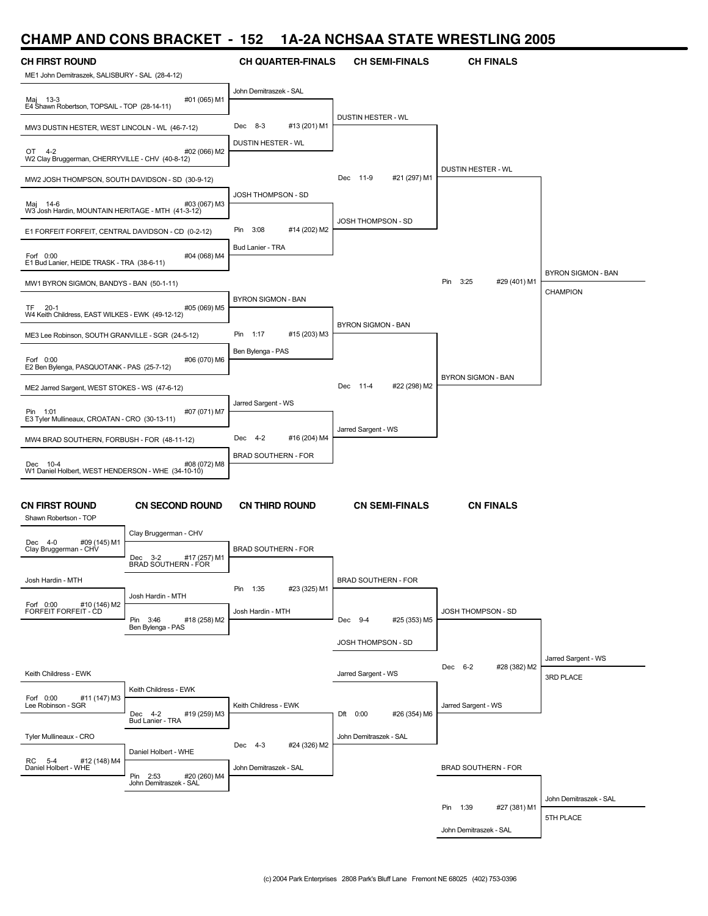# **CHAMP AND CONS BRACKET - 152 1A-2A NCHSAA STATE WRESTLING 2005**

| ULIAIVIL<br><b>AIV</b>                                        | <b>UUINU PHAVILL</b>                               |                             |                               | IA-2A INVIIVAA VIIATE WITEVI EINV ZUUJ |                        |
|---------------------------------------------------------------|----------------------------------------------------|-----------------------------|-------------------------------|----------------------------------------|------------------------|
| <b>CH FIRST ROUND</b>                                         |                                                    | <b>CH QUARTER-FINALS</b>    | <b>CH SEMI-FINALS</b>         | <b>CH FINALS</b>                       |                        |
| ME1 John Demitraszek, SALISBURY - SAL (28-4-12)               |                                                    |                             |                               |                                        |                        |
|                                                               |                                                    | John Demitraszek - SAL      |                               |                                        |                        |
| Maj 13-3<br>E4 Shawn Robertson, TOPSAIL - TOP (28-14-11)      | #01 (065) M1                                       |                             |                               |                                        |                        |
| MW3 DUSTIN HESTER, WEST LINCOLN - WL (46-7-12)                |                                                    | Dec 8-3<br>#13 (201) M1     | <b>DUSTIN HESTER - WL</b>     |                                        |                        |
|                                                               |                                                    | DUSTIN HESTER - WL          |                               |                                        |                        |
| OT<br>$4 - 2$                                                 | #02 (066) M2                                       |                             |                               |                                        |                        |
| W2 Clay Bruggerman, CHERRYVILLE - CHV (40-8-12)               |                                                    |                             |                               | DUSTIN HESTER - WL                     |                        |
| MW2 JOSH THOMPSON, SOUTH DAVIDSON - SD (30-9-12)              |                                                    |                             | Dec<br>11-9<br>#21 (297) M1   |                                        |                        |
|                                                               |                                                    | JOSH THOMPSON - SD          |                               |                                        |                        |
| Maj 14-6<br>W3 Josh Hardin, MOUNTAIN HERITAGE - MTH (41-3-12) | #03 (067) M3                                       |                             |                               |                                        |                        |
|                                                               |                                                    | Pin<br>3:08<br>#14 (202) M2 | JOSH THOMPSON - SD            |                                        |                        |
| E1 FORFEIT FORFEIT, CENTRAL DAVIDSON - CD (0-2-12)            |                                                    |                             |                               |                                        |                        |
| Forf 0:00                                                     | #04 (068) M4                                       | Bud Lanier - TRA            |                               |                                        |                        |
| E1 Bud Lanier, HEIDE TRASK - TRA (38-6-11)                    |                                                    |                             |                               |                                        | BYRON SIGMON - BAN     |
| MW1 BYRON SIGMON, BANDYS - BAN (50-1-11)                      |                                                    |                             |                               | Pin<br>3:25<br>#29 (401) M1            |                        |
|                                                               |                                                    | BYRON SIGMON - BAN          |                               |                                        | <b>CHAMPION</b>        |
| TF 20-1<br>W4 Keith Childress, EAST WILKES - EWK (49-12-12)   | #05 (069) M5                                       |                             |                               |                                        |                        |
|                                                               |                                                    | Pin<br>1:17<br>#15 (203) M3 | BYRON SIGMON - BAN            |                                        |                        |
| ME3 Lee Robinson, SOUTH GRANVILLE - SGR (24-5-12)             |                                                    |                             |                               |                                        |                        |
| Forf 0:00                                                     | #06 (070) M6                                       | Ben Bylenga - PAS           |                               |                                        |                        |
| E2 Ben Bylenga, PASQUOTANK - PAS (25-7-12)                    |                                                    |                             |                               | BYRON SIGMON - BAN                     |                        |
| ME2 Jarred Sargent, WEST STOKES - WS (47-6-12)                |                                                    |                             | Dec<br>$11-4$<br>#22 (298) M2 |                                        |                        |
|                                                               |                                                    | Jarred Sargent - WS         |                               |                                        |                        |
| Pin 1:01<br>E3 Tyler Mullineaux, CROATAN - CRO (30-13-11)     | #07 (071) M7                                       |                             |                               |                                        |                        |
|                                                               |                                                    | Dec 4-2<br>#16 (204) M4     | Jarred Sargent - WS           |                                        |                        |
| MW4 BRAD SOUTHERN, FORBUSH - FOR (48-11-12)                   |                                                    |                             |                               |                                        |                        |
| Dec 10-4                                                      | #08 (072) M8                                       | <b>BRAD SOUTHERN - FOR</b>  |                               |                                        |                        |
| W1 Daniel Holbert, WEST HENDERSON - WHE (34-10-10)            |                                                    |                             |                               |                                        |                        |
|                                                               |                                                    |                             |                               |                                        |                        |
| <b>CN FIRST ROUND</b>                                         | <b>CN SECOND ROUND</b>                             | <b>CN THIRD ROUND</b>       | <b>CN SEMI-FINALS</b>         | <b>CN FINALS</b>                       |                        |
| Shawn Robertson - TOP                                         |                                                    |                             |                               |                                        |                        |
| Dec 4-0<br>#09 (145) M1                                       | Clay Bruggerman - CHV                              |                             |                               |                                        |                        |
| Clay Bruggerman - CHV                                         | Dec 3-2<br>#17 (257) M1                            | <b>BRAD SOUTHERN - FOR</b>  |                               |                                        |                        |
|                                                               | BRAD SOUTHERN - FOR                                |                             |                               |                                        |                        |
| Josh Hardin - MTH                                             |                                                    | Pin 1:35                    | <b>BRAD SOUTHERN - FOR</b>    |                                        |                        |
|                                                               | Josh Hardin - MTH                                  | #23 (325) M1                |                               |                                        |                        |
| Forf 0:00<br>#10 (146) M2<br>FORFEIT FORFEIT - CD             |                                                    | Josh Hardin - MTH           |                               | JOSH THOMPSON - SD                     |                        |
|                                                               | Pin 3:46<br>#18 (258) M2<br>Ben Bylenga - PAS      |                             | Dec 9-4<br>#25 (353) M5       |                                        |                        |
|                                                               |                                                    |                             | JOSH THOMPSON - SD            |                                        |                        |
|                                                               |                                                    |                             |                               |                                        | Jarred Sargent - WS    |
| Keith Childress - EWK                                         |                                                    |                             | Jarred Sargent - WS           | Dec 6-2<br>#28 (382) M2                | 3RD PLACE              |
|                                                               | Keith Childress - EWK                              |                             |                               |                                        |                        |
| #11 (147) M3<br>Forf 0:00<br>Lee Robinson - SGR               |                                                    | Keith Childress - EWK       |                               | Jarred Sargent - WS                    |                        |
|                                                               | Dec 4-2<br>#19 (259) M3<br>Bud Lanier - TRA        |                             | Dft 0:00<br>#26 (354) M6      |                                        |                        |
| Tyler Mullineaux - CRO                                        |                                                    |                             | John Demitraszek - SAL        |                                        |                        |
|                                                               | Daniel Holbert - WHE                               | Dec 4-3<br>#24 (326) M2     |                               |                                        |                        |
| RC 5-4<br>#12 (148) M4<br>Daniel Holbert - WHE                |                                                    | John Demitraszek - SAL      |                               | <b>BRAD SOUTHERN - FOR</b>             |                        |
|                                                               | Pin 2:53<br>#20 (260) M4<br>John Demitraszek - SAL |                             |                               |                                        |                        |
|                                                               |                                                    |                             |                               |                                        | John Demitraszek - SAL |
|                                                               |                                                    |                             |                               | Pin 1:39<br>#27 (381) M1               |                        |
|                                                               |                                                    |                             |                               |                                        | 5TH PLACE              |
|                                                               |                                                    |                             |                               | John Demitraszek - SAL                 |                        |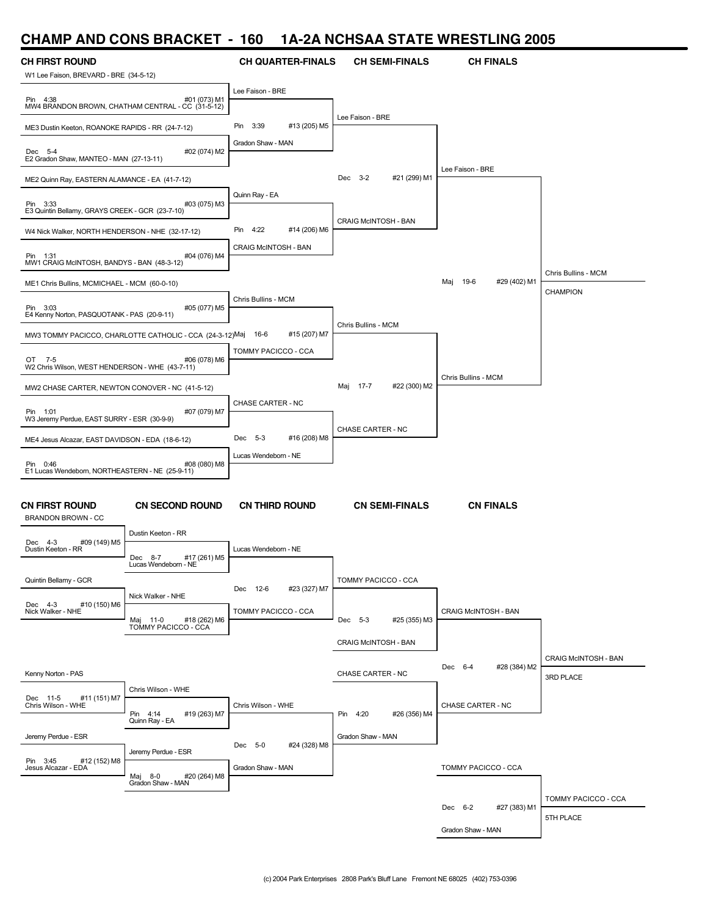## **CHAMP AND CONS BRACKET - 160 1A-2A NCHSAA STATE WRESTLING 2005**

| <b>CH FIRST ROUND</b>                                         |                                                               | <b>CH QUARTER-FINALS</b> | <b>CH SEMI-FINALS</b>       | <b>CH FINALS</b>            |                             |
|---------------------------------------------------------------|---------------------------------------------------------------|--------------------------|-----------------------------|-----------------------------|-----------------------------|
| W1 Lee Faison, BREVARD - BRE (34-5-12)                        |                                                               | Lee Faison - BRE         |                             |                             |                             |
| Pin 4:38<br>MW4 BRANDON BROWN, CHATHAM CENTRAL - CC (31-5-12) | #01 (073) M1                                                  |                          | Lee Faison - BRE            |                             |                             |
| ME3 Dustin Keeton, ROANOKE RAPIDS - RR (24-7-12)              |                                                               | Pin 3:39<br>#13 (205) M5 |                             |                             |                             |
| Dec 5-4<br>E2 Gradon Shaw, MANTEO - MAN (27-13-11)            | #02 (074) M2                                                  | Gradon Shaw - MAN        |                             |                             |                             |
| ME2 Quinn Ray, EASTERN ALAMANCE - EA (41-7-12)                |                                                               |                          | Dec 3-2<br>#21 (299) M1     | Lee Faison - BRE            |                             |
| Pin 3:33<br>E3 Quintin Bellamy, GRAYS CREEK - GCR (23-7-10)   | #03 (075) M3                                                  | Quinn Ray - EA           |                             |                             |                             |
|                                                               |                                                               | Pin 4:22<br>#14 (206) M6 | <b>CRAIG MCINTOSH - BAN</b> |                             |                             |
| W4 Nick Walker, NORTH HENDERSON - NHE (32-17-12)              |                                                               | CRAIG McINTOSH - BAN     |                             |                             |                             |
| Pin 1:31<br>MW1 CRAIG McINTOSH, BANDYS - BAN (48-3-12)        | #04 (076) M4                                                  |                          |                             |                             | Chris Bullins - MCM         |
| ME1 Chris Bullins, MCMICHAEL - MCM (60-0-10)                  |                                                               |                          |                             | Maj<br>19-6<br>#29 (402) M1 | CHAMPION                    |
| Pin 3:03<br>E4 Kenny Norton, PASQUOTANK - PAS (20-9-11)       | #05 (077) M5                                                  | Chris Bullins - MCM      |                             |                             |                             |
|                                                               | MW3 TOMMY PACICCO, CHARLOTTE CATHOLIC - CCA (24-3-12)Maj 16-6 | #15 (207) M7             | Chris Bullins - MCM         |                             |                             |
|                                                               |                                                               | TOMMY PACICCO - CCA      |                             |                             |                             |
| OT 7-5<br>W2 Chris Wilson, WEST HENDERSON - WHE (43-7-11)     | #06 (078) M6                                                  |                          |                             |                             |                             |
| MW2 CHASE CARTER, NEWTON CONOVER - NC (41-5-12)               |                                                               |                          | Maj 17-7<br>#22 (300) M2    | Chris Bullins - MCM         |                             |
|                                                               |                                                               | CHASE CARTER - NC        |                             |                             |                             |
| Pin 1:01<br>W3 Jeremy Perdue, EAST SURRY - ESR (30-9-9)       | #07 (079) M7                                                  |                          |                             |                             |                             |
| ME4 Jesus Alcazar, EAST DAVIDSON - EDA (18-6-12)              |                                                               | Dec 5-3<br>#16 (208) M8  | CHASE CARTER - NC           |                             |                             |
|                                                               |                                                               | Lucas Wendeborn - NE     |                             |                             |                             |
| Pin 0:46<br>E1 Lucas Wendeborn, NORTHEASTERN - NE (25-9-11)   | #08 (080) M8                                                  |                          |                             |                             |                             |
|                                                               |                                                               |                          |                             |                             |                             |
| <b>CN FIRST ROUND</b><br><b>BRANDON BROWN - CC</b>            | <b>CN SECOND ROUND</b>                                        | <b>CN THIRD ROUND</b>    | <b>CN SEMI-FINALS</b>       | <b>CN FINALS</b>            |                             |
| Dec 4-3<br>#09 (149) M5                                       | Dustin Keeton - RR                                            |                          |                             |                             |                             |
| Dustin Keeton - RR                                            | #17 (261) M5<br>Dec 8-7<br>Lucas Wendeborn - NE               | Lucas Wendeborn - NE     |                             |                             |                             |
| Quintin Bellamy - GCR                                         |                                                               |                          | TOMMY PACICCO - CCA         |                             |                             |
|                                                               | Nick Walker - NHE                                             | Dec 12-6<br>#23 (327) M7 |                             |                             |                             |
| Dec 4-3<br>#10 (150) M6<br>Nick Walker - NHE                  | #18 (262) M6<br>Maj                                           | TOMMY PACICCO - CCA      | #25 (355) M3<br>Dec 5-3     | <b>CRAIG McINTOSH - BAN</b> |                             |
|                                                               | $11-0$<br>TOMMY PACICCO - CCA                                 |                          |                             |                             |                             |
|                                                               |                                                               |                          | CRAIG McINTOSH - BAN        |                             |                             |
|                                                               |                                                               |                          | CHASE CARTER - NC           | Dec 6-4<br>#28 (384) M2     | <b>CRAIG McINTOSH - BAN</b> |
| Kenny Norton - PAS                                            | Chris Wilson - WHE                                            |                          |                             |                             | 3RD PLACE                   |
| Dec 11-5<br>#11 (151) M7<br>Chris Wilson - WHE                |                                                               | Chris Wilson - WHE       |                             | CHASE CARTER - NC           |                             |
|                                                               | Pin 4:14<br>#19 (263) M7<br>Quinn Ray - EA                    |                          | Pin 4:20<br>#26 (356) M4    |                             |                             |
| Jeremy Perdue - ESR                                           |                                                               |                          | Gradon Shaw - MAN           |                             |                             |
| #12 (152) M8<br>Pin 3:45                                      | Jeremy Perdue - ESR                                           | Dec 5-0<br>#24 (328) M8  |                             |                             |                             |
| Jesus Alcazar - EDA                                           | #20 (264) M8<br>Maj 8-0                                       | Gradon Shaw - MAN        |                             | TOMMY PACICCO - CCA         |                             |
|                                                               | Gradon Shaw - MAN                                             |                          |                             |                             |                             |
|                                                               |                                                               |                          |                             | Dec 6-2<br>#27 (383) M1     | TOMMY PACICCO - CCA         |
|                                                               |                                                               |                          |                             | Gradon Shaw - MAN           | 5TH PLACE                   |
|                                                               |                                                               |                          |                             |                             |                             |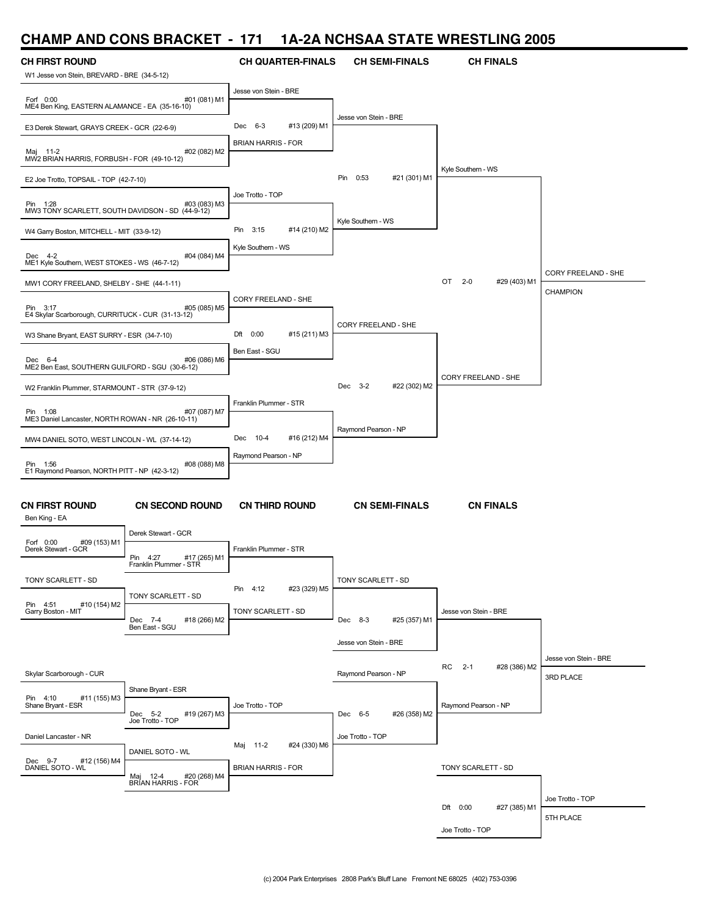#### **CHAMP AND CONS BRACKET - 171 1A-2A NCHSAA STATE WRESTLING 2005**

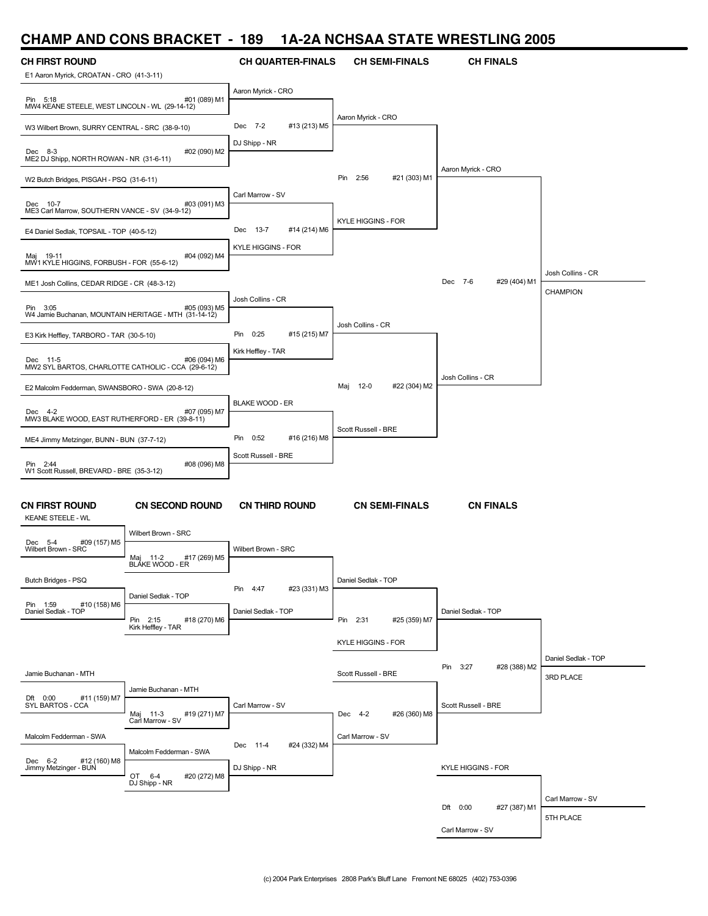## **CHAMP AND CONS BRACKET - 189 1A-2A NCHSAA STATE WRESTLING 2005**

| <b>CH FIRST ROUND</b><br>E1 Aaron Myrick, CROATAN - CRO (41-3-11) |                                              | <b>CH QUARTER-FINALS</b>    | <b>CH SEMI-FINALS</b>       | <b>CH FINALS</b>          |                     |
|-------------------------------------------------------------------|----------------------------------------------|-----------------------------|-----------------------------|---------------------------|---------------------|
|                                                                   |                                              | Aaron Myrick - CRO          |                             |                           |                     |
| Pin 5:18<br>MW4 KEANE STEELE, WEST LINCOLN - WL (29-14-12)        | #01 (089) M1                                 |                             | Aaron Myrick - CRO          |                           |                     |
| W3 Wilbert Brown, SURRY CENTRAL - SRC (38-9-10)                   |                                              | Dec 7-2<br>#13 (213) M5     |                             |                           |                     |
| Dec 8-3<br>ME2 DJ Shipp, NORTH ROWAN - NR (31-6-11)               | #02 (090) M2                                 | DJ Shipp - NR               |                             |                           |                     |
| W2 Butch Bridges, PISGAH - PSQ (31-6-11)                          |                                              |                             | Pin 2:56<br>#21 (303) M1    | Aaron Myrick - CRO        |                     |
| Dec 10-7<br>ME3 Carl Marrow, SOUTHERN VANCE - SV (34-9-12)        | #03 (091) M3                                 | Carl Marrow - SV            |                             |                           |                     |
| E4 Daniel Sedlak, TOPSAIL - TOP (40-5-12)                         |                                              | Dec 13-7<br>#14 (214) M6    | <b>KYLE HIGGINS - FOR</b>   |                           |                     |
| Maj 19-11<br>MW1 KYLE HIGGINS, FORBUSH - FOR (55-6-12)            | #04 (092) M4                                 | <b>KYLE HIGGINS - FOR</b>   |                             |                           |                     |
| ME1 Josh Collins, CEDAR RIDGE - CR (48-3-12)                      |                                              |                             |                             | Dec 7-6<br>#29 (404) M1   | Josh Collins - CR   |
| Pin 3:05<br>W4 Jamie Buchanan, MOUNTAIN HERITAGE - MTH (31-14-12) | #05 (093) M5                                 | Josh Collins - CR           |                             |                           | <b>CHAMPION</b>     |
|                                                                   |                                              |                             | Josh Collins - CR           |                           |                     |
| E3 Kirk Heffley, TARBORO - TAR (30-5-10)                          |                                              | Pin 0:25<br>#15 (215) M7    |                             |                           |                     |
| Dec 11-5<br>MW2 SYL BARTOS, CHARLOTTE CATHOLIC - CCA (29-6-12)    | #06 (094) M6                                 | Kirk Heffley - TAR          |                             |                           |                     |
|                                                                   |                                              |                             |                             | Josh Collins - CR         |                     |
| E2 Malcolm Fedderman, SWANSBORO - SWA (20-8-12)                   |                                              |                             | 12-0<br>#22 (304) M2<br>Maj |                           |                     |
| Dec 4-2<br>MW3 BLAKE WOOD, EAST RUTHERFORD - ER (39-8-11)         | #07 (095) M7                                 | <b>BLAKE WOOD - ER</b>      |                             |                           |                     |
|                                                                   |                                              |                             | Scott Russell - BRE         |                           |                     |
| ME4 Jimmy Metzinger, BUNN - BUN (37-7-12)                         |                                              | Pin<br>0:52<br>#16 (216) M8 |                             |                           |                     |
| Pin 2:44<br>W1 Scott Russell, BREVARD - BRE (35-3-12)             | #08 (096) M8                                 | Scott Russell - BRE         |                             |                           |                     |
|                                                                   |                                              |                             |                             |                           |                     |
| <b>CN FIRST ROUND</b><br><b>KEANE STEELE - WL</b>                 | <b>CN SECOND ROUND</b>                       | <b>CN THIRD ROUND</b>       | <b>CN SEMI-FINALS</b>       | <b>CN FINALS</b>          |                     |
|                                                                   | Wilbert Brown - SRC                          |                             |                             |                           |                     |
| Dec 5-4<br>#09 (157) M5<br>Wilbert Brown - SRC                    | #17 (269) M5<br>Maj 11-2<br>BLÁKE WOOD - ER  | Wilbert Brown - SRC         |                             |                           |                     |
| Butch Bridges - PSQ                                               |                                              |                             | Daniel Sedlak - TOP         |                           |                     |
|                                                                   | Daniel Sedlak - TOP                          | #23 (331) M3<br>Pin 4:47    |                             |                           |                     |
| Pin 1:59<br>#10 (158) M6<br>Daniel Sedlak - TOP                   | #18 (270) M6<br>Pin 2:15                     | Daniel Sedlak - TOP         | #25 (359) M7<br>Pin 2:31    | Daniel Sedlak - TOP       |                     |
|                                                                   | Kirk Heffley - TAR                           |                             |                             |                           |                     |
|                                                                   |                                              |                             | <b>KYLE HIGGINS - FOR</b>   |                           |                     |
|                                                                   |                                              |                             |                             | Pin 3:27<br>#28 (388) M2  | Daniel Sedlak - TOP |
| Jamie Buchanan - MTH                                              | Jamie Buchanan - MTH                         |                             | Scott Russell - BRE         |                           | 3RD PLACE           |
| Dft 0:00<br>#11 (159) M7<br>SYL BARTOS - CCA                      |                                              | Carl Marrow - SV            |                             | Scott Russell - BRE       |                     |
|                                                                   | Maj 11-3<br>Carl Marrow - SV<br>#19 (271) M7 |                             | Dec 4-2<br>#26 (360) M8     |                           |                     |
| Malcolm Fedderman - SWA                                           |                                              |                             | Carl Marrow - SV            |                           |                     |
|                                                                   | Malcolm Fedderman - SWA                      | #24 (332) M4<br>Dec 11-4    |                             |                           |                     |
| Dec 6-2<br>#12 (160) M8<br>Jimmy Metzinger - BUN                  | OT 6-4<br>#20 (272) M8                       | DJ Shipp - NR               |                             | <b>KYLE HIGGINS - FOR</b> |                     |
|                                                                   | DJ Shipp - NR                                |                             |                             |                           |                     |
|                                                                   |                                              |                             |                             | Dft 0:00<br>#27 (387) M1  | Carl Marrow - SV    |
|                                                                   |                                              |                             |                             |                           | 5TH PLACE           |
|                                                                   |                                              |                             |                             | Carl Marrow - SV          |                     |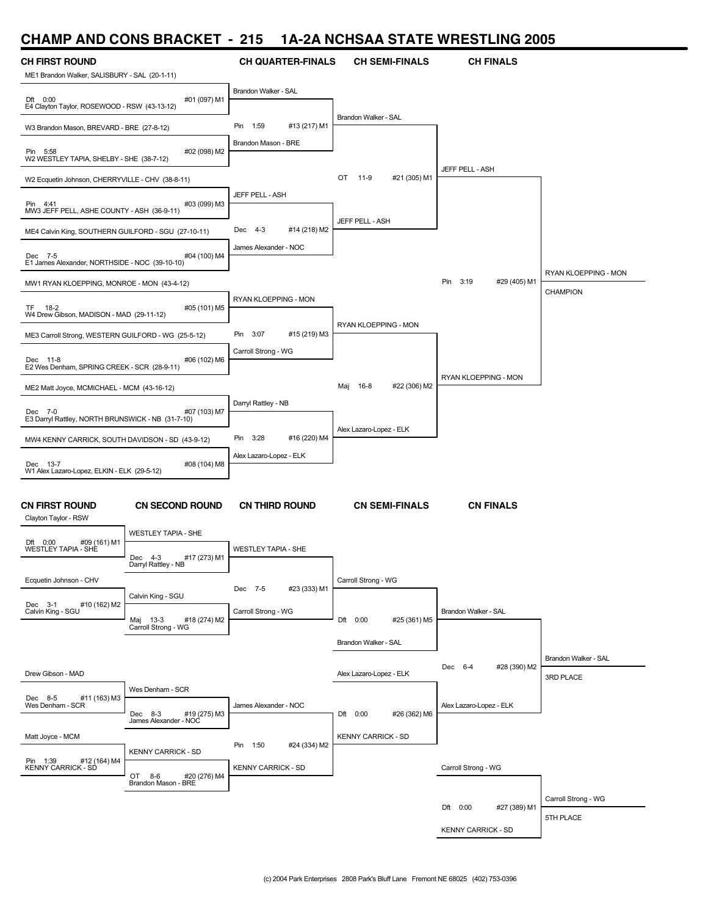#### **CHAMP AND CONS BRACKET - 215 1A-2A NCHSAA STATE WRESTLING 2005**